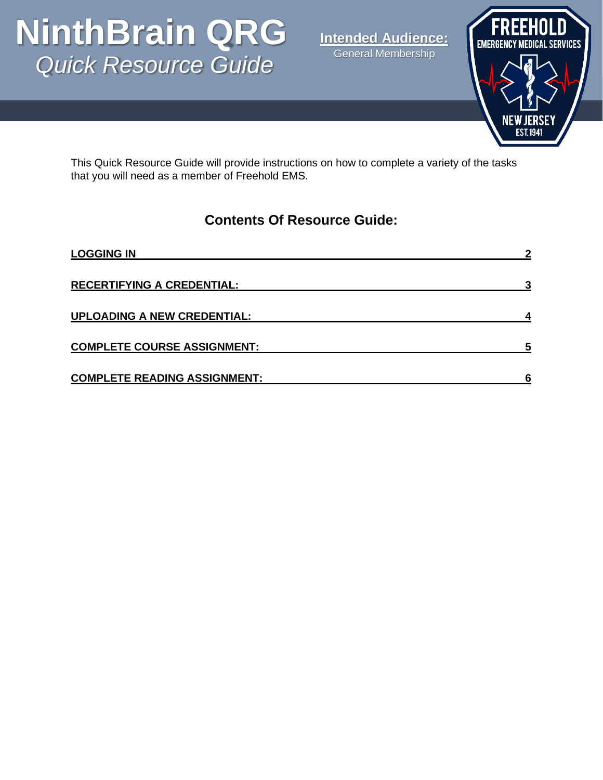# p *Quick Resource Guide* **NinthBrain QRG**

**Intended Audience:** General Membership



This Quick Resource Guide will provide instructions on how to complete a variety of the tasks that you will need as a member of Freehold EMS.

#### **Contents Of Resource Guide:**

| <b>LOGGING IN</b>                   |  |
|-------------------------------------|--|
| <b>RECERTIFYING A CREDENTIAL:</b>   |  |
| <b>UPLOADING A NEW CREDENTIAL:</b>  |  |
| <b>COMPLETE COURSE ASSIGNMENT:</b>  |  |
| <b>COMPLETE READING ASSIGNMENT:</b> |  |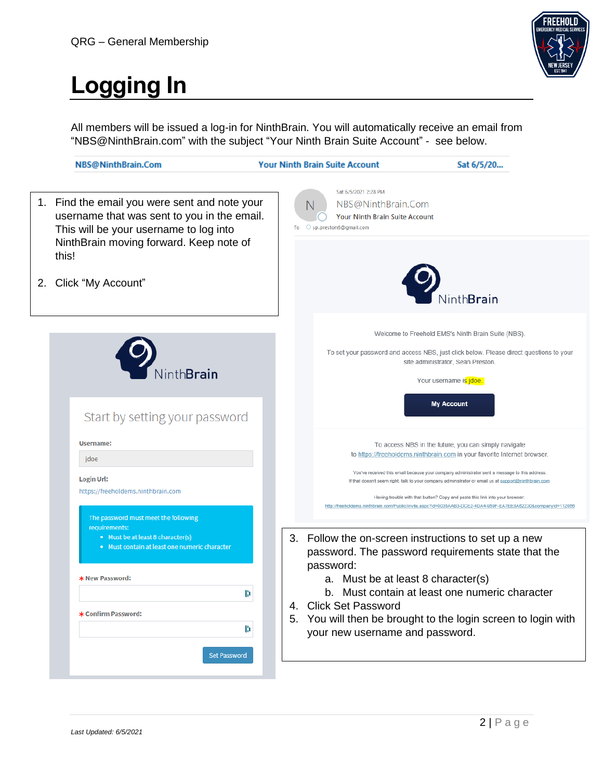

## <span id="page-1-0"></span>**Logging In**

All members will be issued a log-in for NinthBrain. You will automatically receive an email from "NBS@NinthBrain.com" with the subject "Your Ninth Brain Suite Account" - see below.

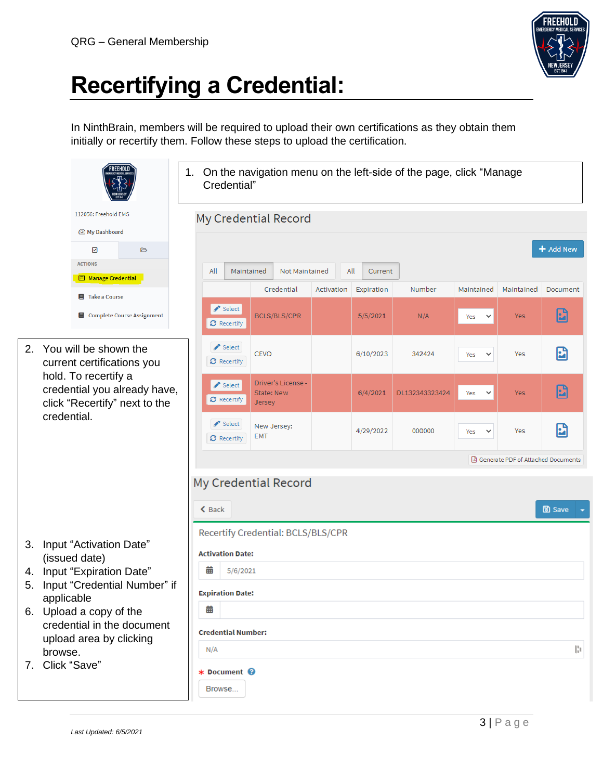

### <span id="page-2-0"></span>**Recertifying a Credential:**

In NinthBrain, members will be required to upload their own certifications as they obtain them initially or recertify them. Follow these steps to upload the certification.

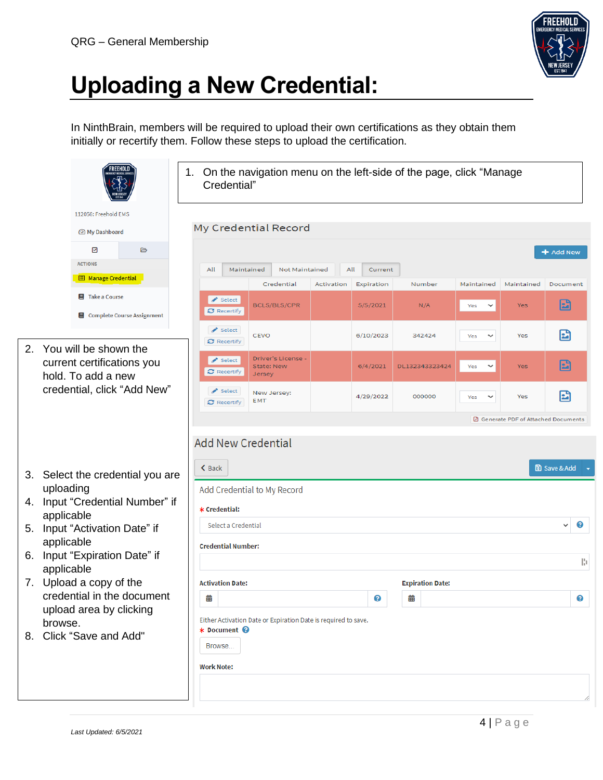

#### <span id="page-3-0"></span>**Uploading a New Credential:**

In NinthBrain, members will be required to upload their own certifications as they obtain them initially or recertify them. Follow these steps to upload the certification.

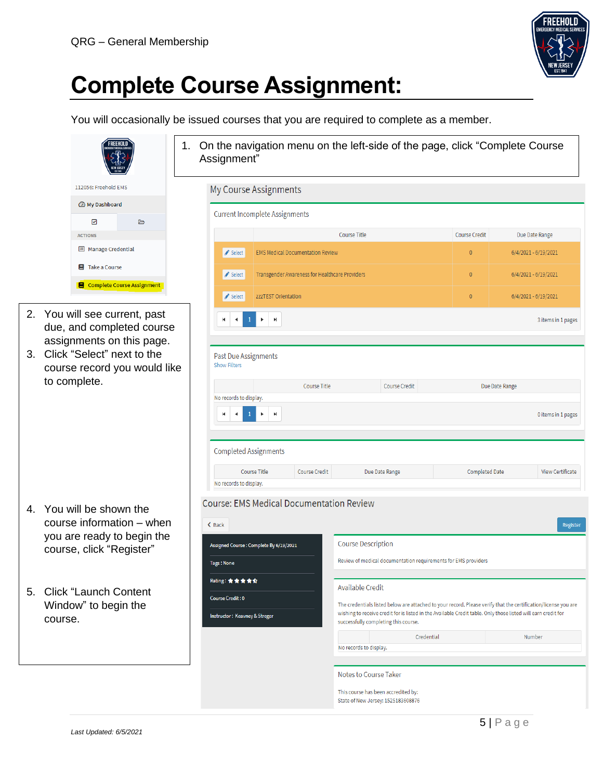

#### <span id="page-4-0"></span>**Complete Course Assignment:**

You will occasionally be issued courses that you are required to complete as a member.